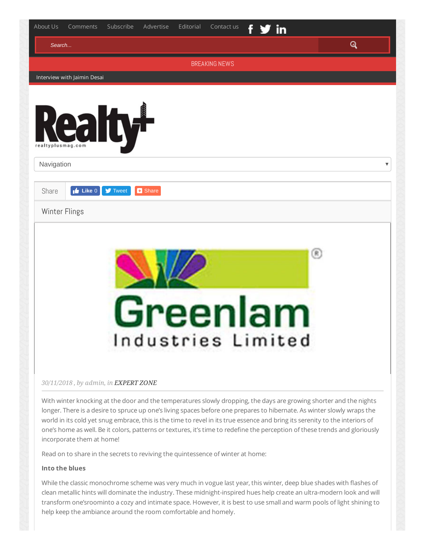| Search            |                             |                                      |                |                      |  |   | Q |
|-------------------|-----------------------------|--------------------------------------|----------------|----------------------|--|---|---|
|                   |                             |                                      |                | <b>BREAKING NEWS</b> |  |   |   |
|                   | Interview with Jaimin Desai |                                      |                |                      |  |   |   |
|                   |                             |                                      |                |                      |  |   |   |
|                   |                             |                                      |                |                      |  |   |   |
|                   |                             | Realty-                              |                |                      |  |   |   |
| realtyplusmag.com |                             |                                      |                |                      |  |   |   |
| Navigation        |                             |                                      |                |                      |  |   |   |
|                   |                             |                                      |                |                      |  |   |   |
| Share             | $\mathbf{r}$ Like 0         | $\blacktriangleright$ Tweet          | <b>B</b> Share |                      |  |   |   |
| Winter Flings     |                             |                                      |                |                      |  |   |   |
|                   |                             |                                      |                |                      |  |   |   |
|                   |                             |                                      |                |                      |  |   |   |
|                   |                             |                                      |                |                      |  | ⊛ |   |
|                   |                             |                                      |                |                      |  |   |   |
|                   |                             |                                      |                |                      |  |   |   |
|                   |                             |                                      |                |                      |  |   |   |
|                   |                             |                                      |                | Greenlam             |  |   |   |
|                   |                             |                                      |                | Industries Limited   |  |   |   |
|                   |                             |                                      |                |                      |  |   |   |
|                   |                             |                                      |                |                      |  |   |   |
|                   |                             | 30/11/2018, by admin, in EXPERT ZONE |                |                      |  |   |   |
|                   |                             |                                      |                |                      |  |   |   |

world in its cold yet snug embrace, this is the time to revel in its true essence and bring its serenity to the interiors of one's home as well. Be it colors, patterns or textures, it's time to redefine the perception of these trends and gloriously incorporate them at home!

Read on to share in the secrets to reviving the quintessence of winter at home:

## **Into the blues**

While the classic monochrome scheme was very much in vogue last year, this winter, deep blue shades with flashes of clean metallic hints will dominate the industry. These midnight-inspired hues help create an ultra-modern look and will transform one'sroominto a cozy and intimate space. However, it is best to use small and warm pools of light shining to help keep the ambiance around the room comfortable and homely.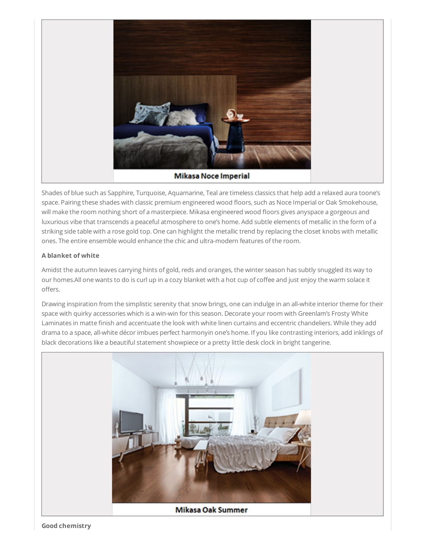

Shades of blue such as Sapphire, Turquoise, Aquamarine, Teal are timeless classics that help add a relaxed aura toone's space. Pairing these shades with classic premium engineered wood floors, such as Noce Imperial or Oak Smokehouse, will make the room nothing short of a masterpiece. Mikasa engineered wood floors gives anyspace a gorgeous and luxurious vibe that transcends a peaceful atmosphere to one's home. Add subtle elements of metallic in the form of a striking side table with a rose gold top. One can highlight the metallic trend by replacing the closet knobs with metallic ones. The entire ensemble would enhance the chic and ultra-modern features of the room.

## **A blanket of white**

Amidst the autumn leaves carrying hints of gold, reds and oranges, the winter season has subtly snuggled its way to our homes.All one wants to do is curl up in a cozy blanket with a hot cup of coffee and just enjoy the warm solace it offers.

Drawing inspiration from the simplistic serenity that snow brings, one can indulge in an all-white interior theme for their space with quirky accessories which is a win-win for this season. Decorate your room with Greenlam's Frosty White Laminates in matte finish and accentuate the look with white linen curtains and eccentric chandeliers. While they add drama to a space, all-white décor imbues perfect harmonyin one's home. If you like contrasting interiors, add inklings of black decorations like a beautiful statement showpiece or a pretty little desk clock in bright tangerine.



**Good chemistry**